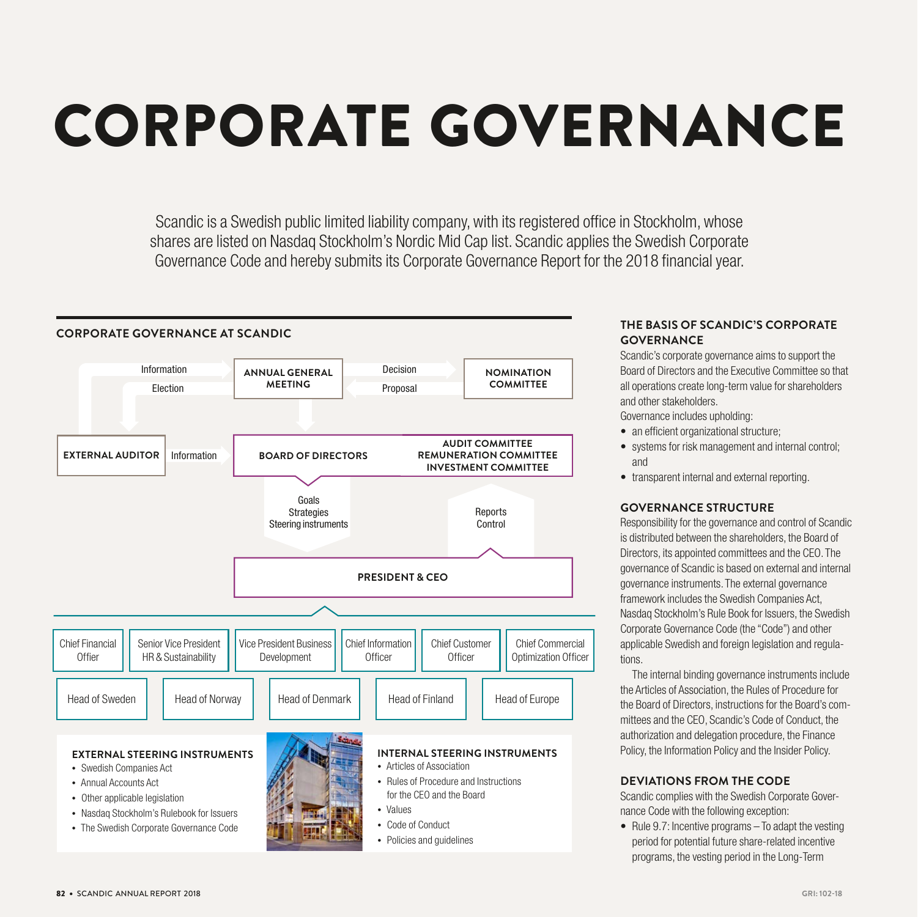# CORPORATE GOVERNANCE

Scandic is a Swedish public limited liability company, with its registered office in Stockholm, whose shares are listed on Nasdaq Stockholm's Nordic Mid Cap list. Scandic applies the Swedish Corporate Governance Code and hereby submits its Corporate Governance Report for the 2018 financial year.



#### **THE BASIS OF SCANDIC'S CORPORATE GOVERNANCE**

Scandic's corporate governance aims to support the Board of Directors and the Executive Committee so that all operations create long-term value for shareholders and other stakeholders.

Governance includes upholding:

- an efficient organizational structure;
- systems for risk management and internal control; and
- transparent internal and external reporting.

#### **GOVERNANCE STRUCTURE**

Responsibility for the governance and control of Scandic is distributed between the shareholders, the Board of Directors, its appointed committees and the CEO. The governance of Scandic is based on external and internal governance instruments. The external governance framework includes the Swedish Companies Act, Nasdaq Stockholm's Rule Book for Issuers, the Swedish Corporate Governance Code (the "Code") and other applicable Swedish and foreign legislation and regulations.

The internal binding governance instruments include the Articles of Association, the Rules of Procedure for the Board of Directors, instructions for the Board's committees and the CEO, Scandic's Code of Conduct, the authorization and delegation procedure, the Finance Policy, the Information Policy and the Insider Policy.

#### **DEVIATIONS FROM THE CODE**

Scandic complies with the Swedish Corporate Governance Code with the following exception:

• Rule 9.7: Incentive programs – To adapt the vesting period for potential future share-related incentive programs, the vesting period in the Long-Term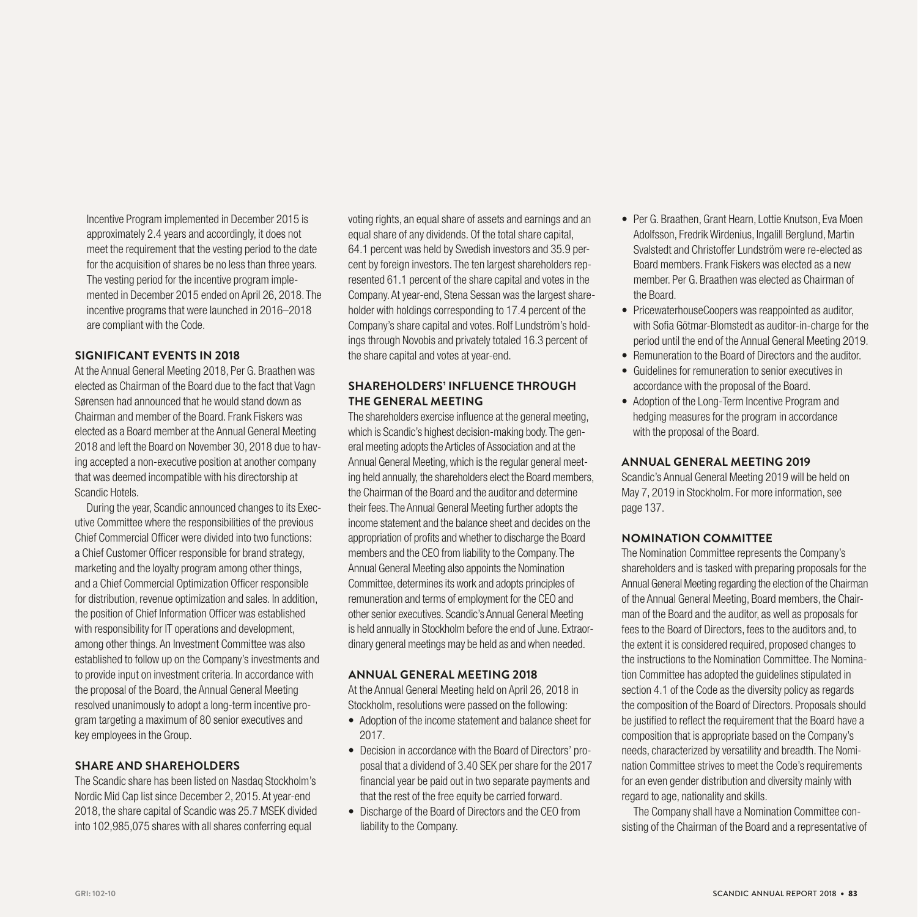Incentive Program implemented in December 2015 is approximately 2.4 years and accordingly, it does not meet the requirement that the vesting period to the date for the acquisition of shares be no less than three years. The vesting period for the incentive program implemented in December 2015 ended on April 26, 2018. The incentive programs that were launched in 2016–2018 are compliant with the Code.

#### **SIGNIFICANT EVENTS IN 2018**

At the Annual General Meeting 2018, Per G. Braathen was elected as Chairman of the Board due to the fact that Vagn Sørensen had announced that he would stand down as Chairman and member of the Board. Frank Fiskers was elected as a Board member at the Annual General Meeting 2018 and left the Board on November 30, 2018 due to having accepted a non-executive position at another company that was deemed incompatible with his directorship at Scandic Hotels.

During the year, Scandic announced changes to its Executive Committee where the responsibilities of the previous Chief Commercial Officer were divided into two functions: a Chief Customer Officer responsible for brand strategy, marketing and the loyalty program among other things, and a Chief Commercial Optimization Officer responsible for distribution, revenue optimization and sales. In addition, the position of Chief Information Officer was established with responsibility for IT operations and development, among other things. An Investment Committee was also established to follow up on the Company's investments and to provide input on investment criteria. In accordance with the proposal of the Board, the Annual General Meeting resolved unanimously to adopt a long-term incentive program targeting a maximum of 80 senior executives and key employees in the Group.

#### **SHARE AND SHAREHOLDERS**

The Scandic share has been listed on Nasdaq Stockholm's Nordic Mid Cap list since December 2, 2015. At year-end 2018, the share capital of Scandic was 25.7 MSEK divided into 102,985,075 shares with all shares conferring equal

voting rights, an equal share of assets and earnings and an equal share of any dividends. Of the total share capital, 64.1 percent was held by Swedish investors and 35.9 percent by foreign investors. The ten largest shareholders represented 61.1 percent of the share capital and votes in the Company. At year-end, Stena Sessan was the largest shareholder with holdings corresponding to 17.4 percent of the Company's share capital and votes. Rolf Lundström's holdings through Novobis and privately totaled 16.3 percent of the share capital and votes at year-end.

#### **SHAREHOLDERS' INFLUENCE THROUGH THE GENERAL MEETING**

The shareholders exercise influence at the general meeting, which is Scandic's highest decision-making body. The general meeting adopts the Articles of Association and at the Annual General Meeting, which is the regular general meeting held annually, the shareholders elect the Board members, the Chairman of the Board and the auditor and determine their fees. The Annual General Meeting further adopts the income statement and the balance sheet and decides on the appropriation of profits and whether to discharge the Board members and the CEO from liability to the Company. The Annual General Meeting also appoints the Nomination Committee, determines its work and adopts principles of remuneration and terms of employment for the CEO and other senior executives. Scandic's Annual General Meeting is held annually in Stockholm before the end of June. Extraordinary general meetings may be held as and when needed.

#### **ANNUAL GENERAL MEETING 2018**

At the Annual General Meeting held on April 26, 2018 in Stockholm, resolutions were passed on the following:

- Adoption of the income statement and balance sheet for 2017.
- Decision in accordance with the Board of Directors' proposal that a dividend of 3.40 SEK per share for the 2017 financial year be paid out in two separate payments and that the rest of the free equity be carried forward.
- Discharge of the Board of Directors and the CEO from liability to the Company.
- Per G. Braathen, Grant Hearn, Lottie Knutson, Eva Moen Adolfsson, Fredrik Wirdenius, Ingalill Berglund, Martin Svalstedt and Christoffer Lundström were re-elected as Board members. Frank Fiskers was elected as a new member. Per G. Braathen was elected as Chairman of the Board.
- PricewaterhouseCoopers was reappointed as auditor, with Sofia Götmar-Blomstedt as auditor-in-charge for the period until the end of the Annual General Meeting 2019.
- Remuneration to the Board of Directors and the auditor.
- Guidelines for remuneration to senior executives in accordance with the proposal of the Board.
- Adoption of the Long-Term Incentive Program and hedging measures for the program in accordance with the proposal of the Board.

#### **ANNUAL GENERAL MEETING 2019**

Scandic's Annual General Meeting 2019 will be held on May 7, 2019 in Stockholm. For more information, see page 137.

#### **NOMINATION COMMITTEE**

The Nomination Committee represents the Company's shareholders and is tasked with preparing proposals for the Annual General Meeting regarding the election of the Chairman of the Annual General Meeting, Board members, the Chairman of the Board and the auditor, as well as proposals for fees to the Board of Directors, fees to the auditors and, to the extent it is considered required, proposed changes to the instructions to the Nomination Committee. The Nomination Committee has adopted the guidelines stipulated in section 4.1 of the Code as the diversity policy as regards the composition of the Board of Directors. Proposals should be justified to reflect the requirement that the Board have a composition that is appropriate based on the Company's needs, characterized by versatility and breadth. The Nomination Committee strives to meet the Code's requirements for an even gender distribution and diversity mainly with regard to age, nationality and skills.

The Company shall have a Nomination Committee consisting of the Chairman of the Board and a representative of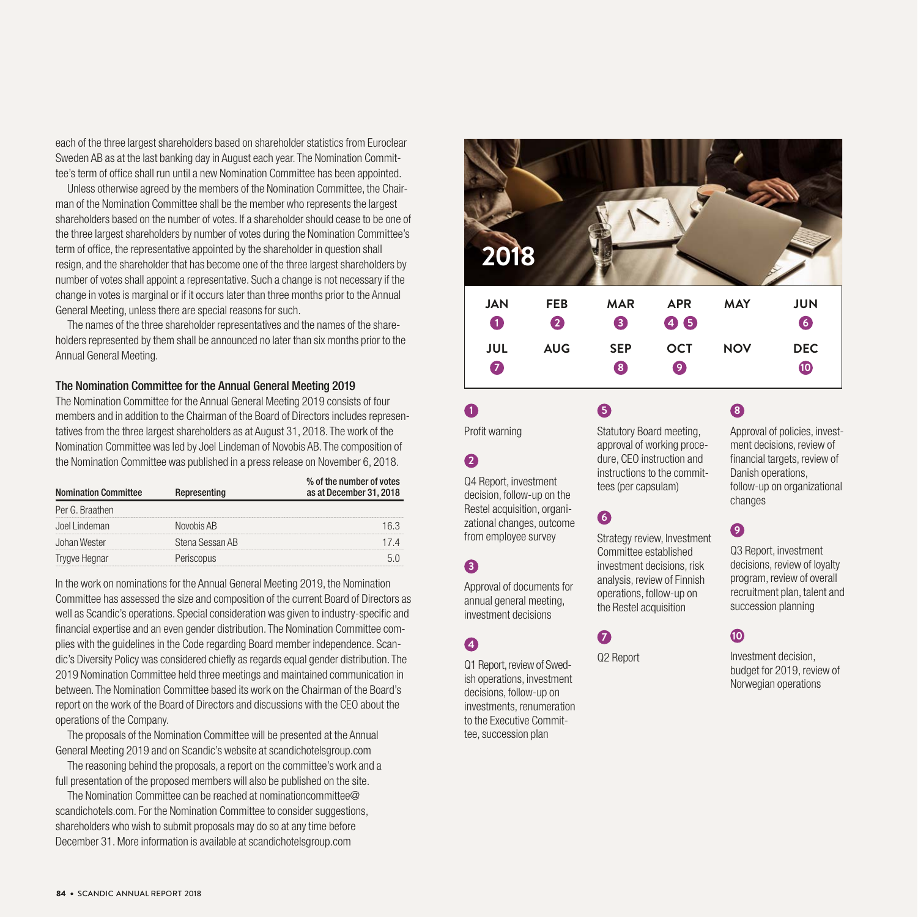each of the three largest shareholders based on shareholder statistics from Euroclear Sweden AB as at the last banking day in August each year. The Nomination Committee's term of office shall run until a new Nomination Committee has been appointed.

Unless otherwise agreed by the members of the Nomination Committee, the Chairman of the Nomination Committee shall be the member who represents the largest shareholders based on the number of votes. If a shareholder should cease to be one of the three largest shareholders by number of votes during the Nomination Committee's term of office, the representative appointed by the shareholder in question shall resign, and the shareholder that has become one of the three largest shareholders by number of votes shall appoint a representative. Such a change is not necessary if the change in votes is marginal or if it occurs later than three months prior to the Annual General Meeting, unless there are special reasons for such.

The names of the three shareholder representatives and the names of the shareholders represented by them shall be announced no later than six months prior to the Annual General Meeting.

#### The Nomination Committee for the Annual General Meeting 2019

The Nomination Committee for the Annual General Meeting 2019 consists of four members and in addition to the Chairman of the Board of Directors includes representatives from the three largest shareholders as at August 31, 2018. The work of the Nomination Committee was led by Joel Lindeman of Novobis AB. The composition of the Nomination Committee was published in a press release on November 6, 2018.

| <b>Nomination Committee</b> | % of the number of votes<br>as at December 31, 2018 |  |
|-----------------------------|-----------------------------------------------------|--|
| Per G. Braathen             |                                                     |  |
| Joel Lindeman               | Novobis AB                                          |  |
| Johan Wester                | Stena Sessan AB                                     |  |
| Trygve Hegnar               | Periscopus                                          |  |

In the work on nominations for the Annual General Meeting 2019, the Nomination Committee has assessed the size and composition of the current Board of Directors as well as Scandic's operations. Special consideration was given to industry-specific and financial expertise and an even gender distribution. The Nomination Committee complies with the guidelines in the Code regarding Board member independence. Scandic's Diversity Policy was considered chiefly as regards equal gender distribution. The 2019 Nomination Committee held three meetings and maintained communication in between. The Nomination Committee based its work on the Chairman of the Board's report on the work of the Board of Directors and discussions with the CEO about the operations of the Company.

The proposals of the Nomination Committee will be presented at the Annual General Meeting 2019 and on Scandic's website at scandichotelsgroup.com

The reasoning behind the proposals, a report on the committee's work and a full presentation of the proposed members will also be published on the site.

The Nomination Committee can be reached at nominationcommittee@ scandichotels.com. For the Nomination Committee to consider suggestions, shareholders who wish to submit proposals may do so at any time before December 31. More information is available at scandichotelsgroup.com

| 2018                    |                                |                 |                                     |            |                          |
|-------------------------|--------------------------------|-----------------|-------------------------------------|------------|--------------------------|
| <b>JAN</b><br>$\bullet$ | <b>FEB</b><br>$\boldsymbol{Q}$ | <b>MAR</b><br>8 | <b>APR</b><br>46                    | <b>MAY</b> | <b>JUN</b><br>6          |
| JUL<br>$\bullet$        | <b>AUG</b>                     | <b>SEP</b><br>8 | <b>OCT</b><br>$\boldsymbol{\Theta}$ | <b>NOV</b> | <b>DEC</b><br>$\bf \Phi$ |

Profit warning

#### **2**

**1**

Q4 Report, investment decision, follow-up on the Restel acquisition, organizational changes, outcome from employee survey

#### **3**

Approval of documents for annual general meeting, investment decisions

#### **4**

Q1 Report, review of Swedish operations, investment decisions, follow-up on investments, renumeration to the Executive Committee, succession plan

Statutory Board meeting, approval of working procedure, CEO instruction and instructions to the committees (per capsulam)

## **6**

**5**

Strategy review, Investment Committee established investment decisions, risk analysis, review of Finnish operations, follow-up on the Restel acquisition

### **7**

Q2 Report

## **8**

Approval of policies, investment decisions, review of financial targets, review of Danish operations, follow-up on organizational changes

## **9**

Q3 Report, investment decisions, review of loyalty program, review of overall recruitment plan, talent and succession planning

### **10**

Investment decision, budget for 2019, review of Norwegian operations

84 • SCANDIC ANNUAL REPORT 2018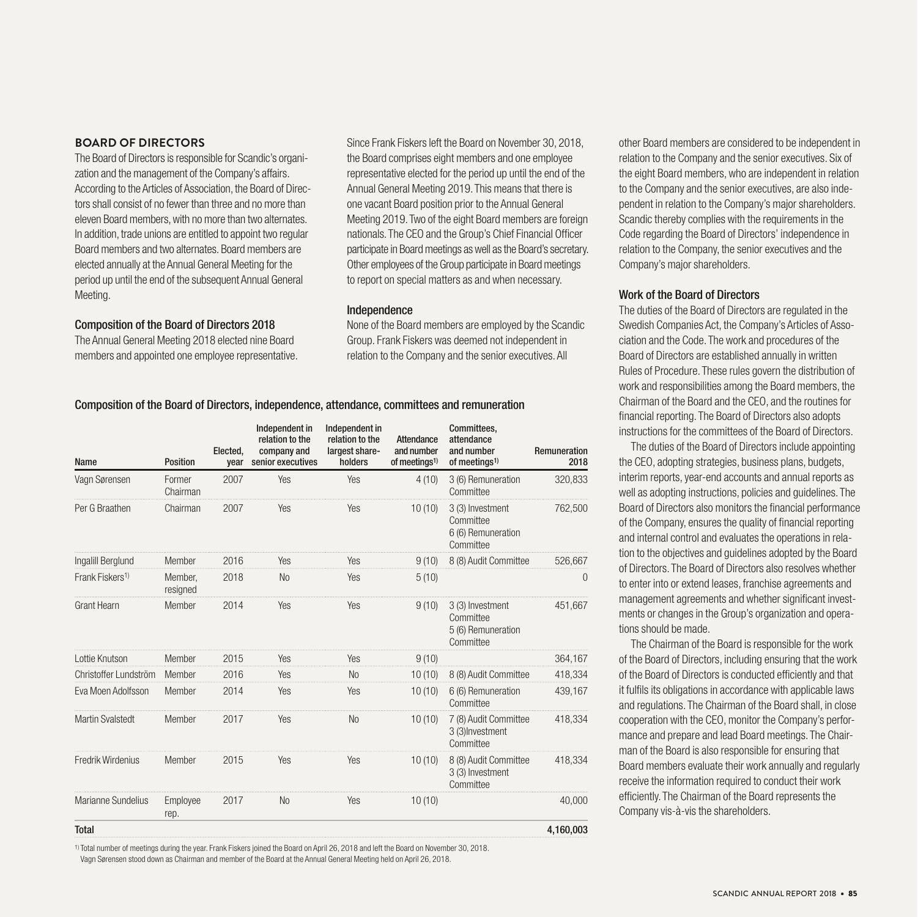#### **BOARD OF DIRECTORS**

The Board of Directors is responsible for Scandic's organization and the management of the Company's affairs. According to the Articles of Association, the Board of Directors shall consist of no fewer than three and no more than eleven Board members, with no more than two alternates. In addition, trade unions are entitled to appoint two regular Board members and two alternates. Board members are elected annually at the Annual General Meeting for the period up until the end of the subsequent Annual General Meeting.

#### Composition of the Board of Directors 2018

The Annual General Meeting 2018 elected nine Board members and appointed one employee representative.

Since Frank Fiskers left the Board on November 30, 2018, the Board comprises eight members and one employee representative elected for the period up until the end of the Annual General Meeting 2019. This means that there is one vacant Board position prior to the Annual General Meeting 2019. Two of the eight Board members are foreign nationals. The CEO and the Group's Chief Financial Officer participate in Board meetings as well as the Board's secretary. Other employees of the Group participate in Board meetings to report on special matters as and when necessary.

#### Independence

None of the Board members are employed by the Scandic Group. Frank Fiskers was deemed not independent in relation to the Company and the senior executives. All

other Board members are considered to be independent in relation to the Company and the senior executives. Six of the eight Board members, who are independent in relation to the Company and the senior executives, are also independent in relation to the Company's major shareholders. Scandic thereby complies with the requirements in the Code regarding the Board of Directors' independence in relation to the Company, the senior executives and the Company's major shareholders.

#### Work of the Board of Directors

The duties of the Board of Directors are regulated in the Swedish Companies Act, the Company's Articles of Association and the Code. The work and procedures of the Board of Directors are established annually in written Rules of Procedure. These rules govern the distribution of work and responsibilities among the Board members, the Chairman of the Board and the CEO, and the routines for financial reporting. The Board of Directors also adopts instructions for the committees of the Board of Directors.

The duties of the Board of Directors include appointing the CEO, adopting strategies, business plans, budgets, interim reports, year-end accounts and annual reports as well as adopting instructions, policies and guidelines. The Board of Directors also monitors the financial performance of the Company, ensures the quality of financial reporting and internal control and evaluates the operations in relation to the objectives and guidelines adopted by the Board of Directors. The Board of Directors also resolves whether to enter into or extend leases, franchise agreements and management agreements and whether significant investments or changes in the Group's organization and operations should be made.

The Chairman of the Board is responsible for the work of the Board of Directors, including ensuring that the work of the Board of Directors is conducted efficiently and that it fulfils its obligations in accordance with applicable laws and regulations. The Chairman of the Board shall, in close cooperation with the CEO, monitor the Company's performance and prepare and lead Board meetings. The Chairman of the Board is also responsible for ensuring that Board members evaluate their work annually and regularly receive the information required to conduct their work efficiently. The Chairman of the Board represents the Company vis-à-vis the shareholders.

#### Composition of the Board of Directors, independence, attendance, committees and remuneration

| Name                        | <b>Position</b>     | Elected,<br>year | Independent in<br>relation to the<br>company and<br>senior executives | Independent in<br>relation to the<br>largest share-<br>holders | Attendance<br>and number<br>of meetings <sup>1)</sup> | Committees,<br>attendance<br>and number<br>of meetings <sup>1)</sup> | Remuneration<br>2018 |
|-----------------------------|---------------------|------------------|-----------------------------------------------------------------------|----------------------------------------------------------------|-------------------------------------------------------|----------------------------------------------------------------------|----------------------|
| Vagn Sørensen               | Former<br>Chairman  | 2007             | Yes                                                                   | Yes                                                            | 4(10)                                                 | 3 (6) Remuneration<br>Committee                                      | 320,833              |
| Per G Braathen              | Chairman            | 2007             | Yes                                                                   | Yes                                                            | 10(10)                                                | 3 (3) Investment<br>Committee<br>6 (6) Remuneration<br>Committee     | 762,500              |
| Ingalill Berglund           | Member              | 2016             | Yes                                                                   | Yes                                                            | 9(10)                                                 | 8 (8) Audit Committee                                                | 526,667              |
| Frank Fiskers <sup>1)</sup> | Member,<br>resigned | 2018             | N <sub>o</sub>                                                        | Yes                                                            | 5(10)                                                 |                                                                      | 0                    |
| <b>Grant Hearn</b>          | Member              | 2014             | Yes                                                                   | Yes                                                            | 9(10)                                                 | 3 (3) Investment<br>Committee<br>5 (6) Remuneration<br>Committee     | 451,667              |
| Lottie Knutson              | Member              | 2015             | Yes                                                                   | <b>Yes</b>                                                     | 9(10)                                                 |                                                                      | 364,167              |
| Christoffer Lundström       | Member              | 2016             | Yes                                                                   | N <sub>0</sub>                                                 | 10(10)                                                | 8 (8) Audit Committee                                                | 418,334              |
| Eva Moen Adolfsson          | Member              | 2014             | Yes                                                                   | Yes                                                            | 10(10)                                                | 6 (6) Remuneration<br>Committee                                      | 439,167              |
| <b>Martin Svalstedt</b>     | Member              | 2017             | Yes                                                                   | N <sub>0</sub>                                                 | 10(10)                                                | 7 (8) Audit Committee<br>3 (3) Investment<br>Committee               | 418,334              |
| Fredrik Wirdenius           | Member              | 2015             | Yes                                                                   | Yes                                                            | 10(10)                                                | 8 (8) Audit Committee<br>3 (3) Investment<br>Committee               | 418,334              |
| Marianne Sundelius          | Employee<br>rep.    | 2017             | N <sub>o</sub>                                                        | Yes                                                            | 10(10)                                                |                                                                      | 40,000               |
| <b>Total</b>                |                     |                  |                                                                       |                                                                |                                                       |                                                                      | 4,160,003            |

1) Total number of meetings during the year. Frank Fiskers joined the Board on April 26, 2018 and left the Board on November 30, 2018. Vagn Sørensen stood down as Chairman and member of the Board at the Annual General Meeting held on April 26, 2018.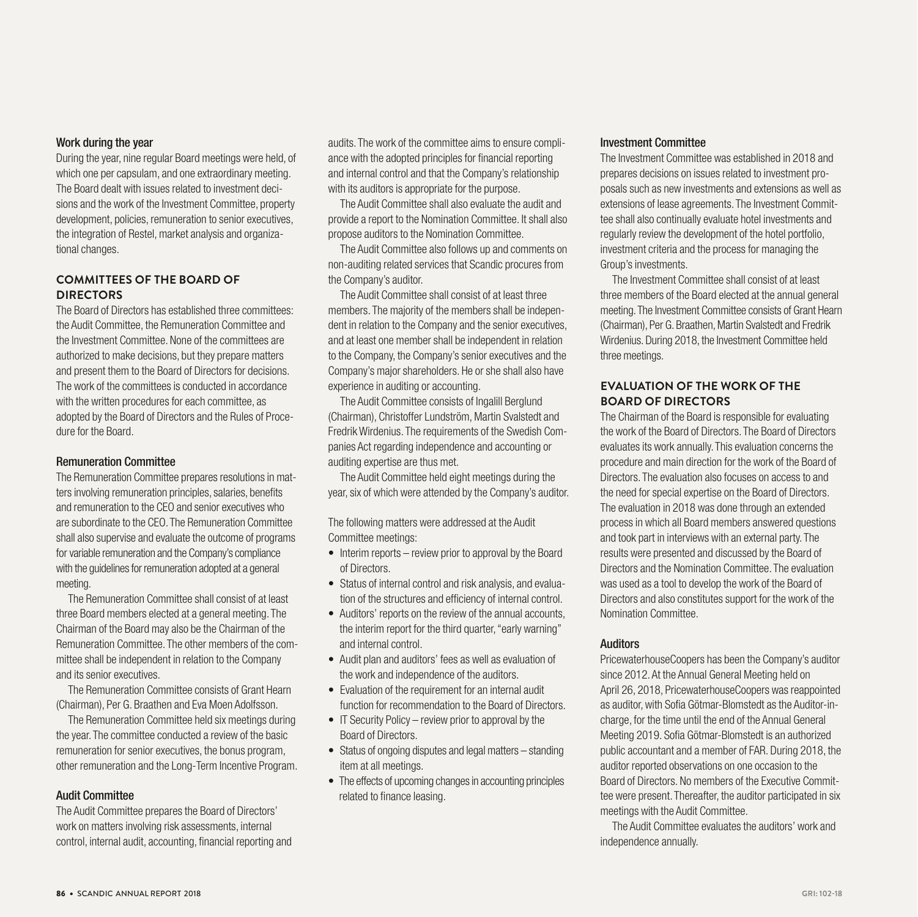#### Work during the year

During the year, nine regular Board meetings were held, of which one per capsulam, and one extraordinary meeting. The Board dealt with issues related to investment decisions and the work of the Investment Committee, property development, policies, remuneration to senior executives, the integration of Restel, market analysis and organizational changes.

#### **COMMITTEES OF THE BOARD OF DIRECTORS**

The Board of Directors has established three committees: the Audit Committee, the Remuneration Committee and the Investment Committee. None of the committees are authorized to make decisions, but they prepare matters and present them to the Board of Directors for decisions. The work of the committees is conducted in accordance with the written procedures for each committee, as adopted by the Board of Directors and the Rules of Procedure for the Board.

#### Remuneration Committee

The Remuneration Committee prepares resolutions in matters involving remuneration principles, salaries, benefits and remuneration to the CEO and senior executives who are subordinate to the CEO. The Remuneration Committee shall also supervise and evaluate the outcome of programs for variable remuneration and the Company's compliance with the quidelines for remuneration adopted at a general meeting.

The Remuneration Committee shall consist of at least three Board members elected at a general meeting. The Chairman of the Board may also be the Chairman of the Remuneration Committee. The other members of the committee shall be independent in relation to the Company and its senior executives.

The Remuneration Committee consists of Grant Hearn (Chairman), Per G. Braathen and Eva Moen Adolfsson.

The Remuneration Committee held six meetings during the year. The committee conducted a review of the basic remuneration for senior executives, the bonus program, other remuneration and the Long-Term Incentive Program.

#### Audit Committee

The Audit Committee prepares the Board of Directors' work on matters involving risk assessments, internal control, internal audit, accounting, financial reporting and audits. The work of the committee aims to ensure compliance with the adopted principles for financial reporting and internal control and that the Company's relationship with its auditors is appropriate for the purpose.

The Audit Committee shall also evaluate the audit and provide a report to the Nomination Committee. It shall also propose auditors to the Nomination Committee.

The Audit Committee also follows up and comments on non-auditing related services that Scandic procures from the Company's auditor.

The Audit Committee shall consist of at least three members. The majority of the members shall be independent in relation to the Company and the senior executives, and at least one member shall be independent in relation to the Company, the Company's senior executives and the Company's major shareholders. He or she shall also have experience in auditing or accounting.

The Audit Committee consists of Ingalill Berglund (Chairman), Christoffer Lundström, Martin Svalstedt and Fredrik Wirdenius. The requirements of the Swedish Companies Act regarding independence and accounting or auditing expertise are thus met.

The Audit Committee held eight meetings during the year, six of which were attended by the Company's auditor.

The following matters were addressed at the Audit Committee meetings:

- Interim reports review prior to approval by the Board of Directors.
- Status of internal control and risk analysis, and evaluation of the structures and efficiency of internal control.
- Auditors' reports on the review of the annual accounts, the interim report for the third quarter, "early warning" and internal control.
- Audit plan and auditors' fees as well as evaluation of the work and independence of the auditors.
- Evaluation of the requirement for an internal audit function for recommendation to the Board of Directors.
- IT Security Policy review prior to approval by the Board of Directors.
- Status of ongoing disputes and legal matters standing item at all meetings.
- The effects of upcoming changes in accounting principles related to finance leasing.

#### Investment Committee

The Investment Committee was established in 2018 and prepares decisions on issues related to investment proposals such as new investments and extensions as well as extensions of lease agreements. The Investment Committee shall also continually evaluate hotel investments and regularly review the development of the hotel portfolio, investment criteria and the process for managing the Group's investments.

The Investment Committee shall consist of at least three members of the Board elected at the annual general meeting. The Investment Committee consists of Grant Hearn (Chairman), Per G. Braathen, Martin Svalstedt and Fredrik Wirdenius. During 2018, the Investment Committee held three meetings.

#### **EVALUATION OF THE WORK OF THE BOARD OF DIRECTORS**

The Chairman of the Board is responsible for evaluating the work of the Board of Directors. The Board of Directors evaluates its work annually. This evaluation concerns the procedure and main direction for the work of the Board of Directors. The evaluation also focuses on access to and the need for special expertise on the Board of Directors. The evaluation in 2018 was done through an extended process in which all Board members answered questions and took part in interviews with an external party. The results were presented and discussed by the Board of Directors and the Nomination Committee. The evaluation was used as a tool to develop the work of the Board of Directors and also constitutes support for the work of the Nomination Committee.

#### Auditors

PricewaterhouseCoopers has been the Company's auditor since 2012. At the Annual General Meeting held on April 26, 2018, PricewaterhouseCoopers was reappointed as auditor, with Sofia Götmar-Blomstedt as the Auditor-incharge, for the time until the end of the Annual General Meeting 2019. Sofia Götmar-Blomstedt is an authorized public accountant and a member of FAR. During 2018, the auditor reported observations on one occasion to the Board of Directors. No members of the Executive Committee were present. Thereafter, the auditor participated in six meetings with the Audit Committee.

The Audit Committee evaluates the auditors' work and independence annually.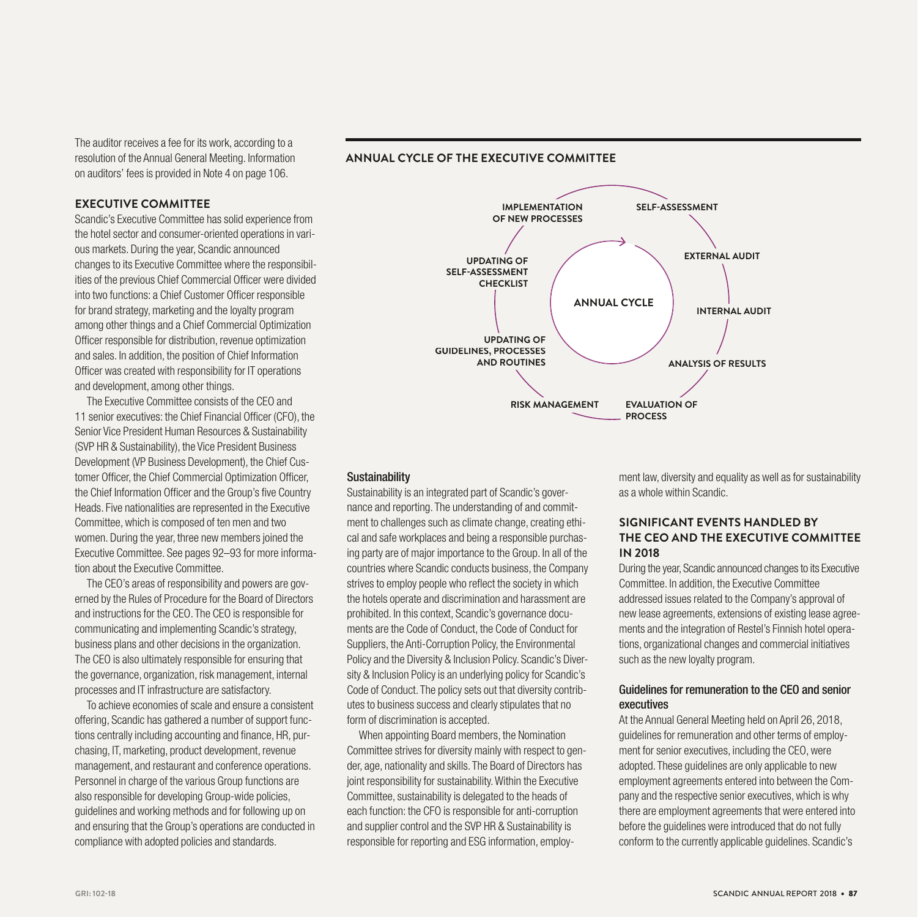The auditor receives a fee for its work, according to a resolution of the Annual General Meeting. Information on auditors' fees is provided in Note 4 on page 106.

#### **ANNUAL CYCLE OF THE EXECUTIVE COMMITTEE**

#### **EXECUTIVE COMMITTEE**

Scandic's Executive Committee has solid experience from the hotel sector and consumer-oriented operations in various markets. During the year, Scandic announced changes to its Executive Committee where the responsibilities of the previous Chief Commercial Officer were divided into two functions: a Chief Customer Officer responsible for brand strategy, marketing and the loyalty program among other things and a Chief Commercial Optimization Officer responsible for distribution, revenue optimization and sales. In addition, the position of Chief Information Officer was created with responsibility for IT operations and development, among other things.

The Executive Committee consists of the CEO and 11 senior executives: the Chief Financial Officer (CFO), the Senior Vice President Human Resources & Sustainability (SVP HR & Sustainability), the Vice President Business Development (VP Business Development), the Chief Customer Officer, the Chief Commercial Optimization Officer, the Chief Information Officer and the Group's five Country Heads. Five nationalities are represented in the Executive Committee, which is composed of ten men and two women. During the year, three new members joined the Executive Committee. See pages 92–93 for more information about the Executive Committee.

The CEO's areas of responsibility and powers are governed by the Rules of Procedure for the Board of Directors and instructions for the CEO. The CEO is responsible for communicating and implementing Scandic's strategy, business plans and other decisions in the organization. The CEO is also ultimately responsible for ensuring that the governance, organization, risk management, internal processes and IT infrastructure are satisfactory.

To achieve economies of scale and ensure a consistent offering, Scandic has gathered a number of support functions centrally including accounting and finance, HR, purchasing, IT, marketing, product development, revenue management, and restaurant and conference operations. Personnel in charge of the various Group functions are also responsible for developing Group-wide policies, guidelines and working methods and for following up on and ensuring that the Group's operations are conducted in compliance with adopted policies and standards.



#### **Sustainability**

Sustainability is an integrated part of Scandic's governance and reporting. The understanding of and commitment to challenges such as climate change, creating ethical and safe workplaces and being a responsible purchasing party are of major importance to the Group. In all of the countries where Scandic conducts business, the Company strives to employ people who reflect the society in which the hotels operate and discrimination and harassment are prohibited. In this context, Scandic's governance documents are the Code of Conduct, the Code of Conduct for Suppliers, the Anti-Corruption Policy, the Environmental Policy and the Diversity & Inclusion Policy. Scandic's Diversity & Inclusion Policy is an underlying policy for Scandic's Code of Conduct. The policy sets out that diversity contributes to business success and clearly stipulates that no form of discrimination is accepted.

When appointing Board members, the Nomination Committee strives for diversity mainly with respect to gender, age, nationality and skills. The Board of Directors has joint responsibility for sustainability. Within the Executive Committee, sustainability is delegated to the heads of each function: the CFO is responsible for anti-corruption and supplier control and the SVP HR & Sustainability is responsible for reporting and ESG information, employment law, diversity and equality as well as for sustainability as a whole within Scandic.

#### **SIGNIFICANT EVENTS HANDLED BY THE CEO AND THE EXECUTIVE COMMITTEE IN 2018**

During the year, Scandic announced changes to its Executive Committee. In addition, the Executive Committee addressed issues related to the Company's approval of new lease agreements, extensions of existing lease agreements and the integration of Restel's Finnish hotel operations, organizational changes and commercial initiatives such as the new loyalty program.

#### Guidelines for remuneration to the CEO and senior executives

At the Annual General Meeting held on April 26, 2018, guidelines for remuneration and other terms of employment for senior executives, including the CEO, were adopted. These guidelines are only applicable to new employment agreements entered into between the Company and the respective senior executives, which is why there are employment agreements that were entered into before the guidelines were introduced that do not fully conform to the currently applicable guidelines. Scandic's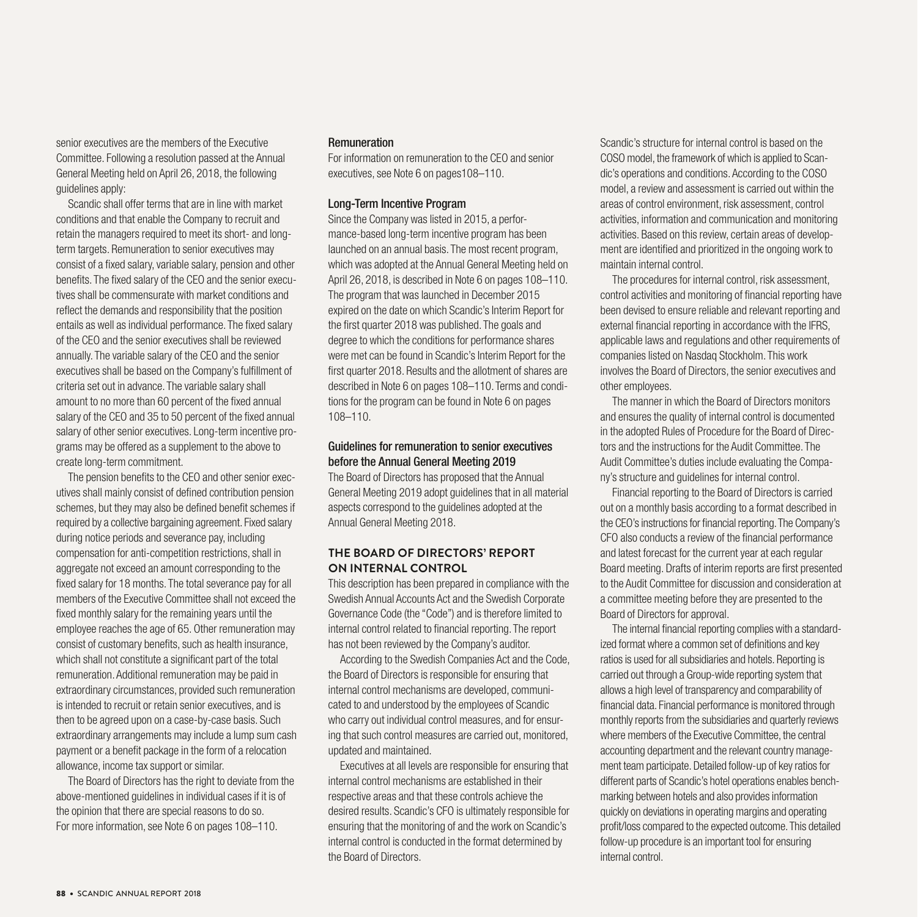senior executives are the members of the Executive Committee. Following a resolution passed at the Annual General Meeting held on April 26, 2018, the following guidelines apply:

Scandic shall offer terms that are in line with market conditions and that enable the Company to recruit and retain the managers required to meet its short- and longterm targets. Remuneration to senior executives may consist of a fixed salary, variable salary, pension and other benefits. The fixed salary of the CEO and the senior executives shall be commensurate with market conditions and reflect the demands and responsibility that the position entails as well as individual performance. The fixed salary of the CEO and the senior executives shall be reviewed annually. The variable salary of the CEO and the senior executives shall be based on the Company's fulfillment of criteria set out in advance. The variable salary shall amount to no more than 60 percent of the fixed annual salary of the CEO and 35 to 50 percent of the fixed annual salary of other senior executives. Long-term incentive programs may be offered as a supplement to the above to create long-term commitment.

The pension benefits to the CEO and other senior executives shall mainly consist of defined contribution pension schemes, but they may also be defined benefit schemes if required by a collective bargaining agreement. Fixed salary during notice periods and severance pay, including compensation for anti-competition restrictions, shall in aggregate not exceed an amount corresponding to the fixed salary for 18 months. The total severance pay for all members of the Executive Committee shall not exceed the fixed monthly salary for the remaining years until the employee reaches the age of 65. Other remuneration may consist of customary benefits, such as health insurance, which shall not constitute a significant part of the total remuneration. Additional remuneration may be paid in extraordinary circumstances, provided such remuneration is intended to recruit or retain senior executives, and is then to be agreed upon on a case-by-case basis. Such extraordinary arrangements may include a lump sum cash payment or a benefit package in the form of a relocation allowance, income tax support or similar.

The Board of Directors has the right to deviate from the above-mentioned guidelines in individual cases if it is of the opinion that there are special reasons to do so. For more information, see Note 6 on pages 108–110.

#### Remuneration

For information on remuneration to the CEO and senior executives, see Note 6 on pages108–110.

#### Long-Term Incentive Program

Since the Company was listed in 2015, a performance-based long-term incentive program has been launched on an annual basis. The most recent program, which was adopted at the Annual General Meeting held on April 26, 2018, is described in Note 6 on pages 108–110. The program that was launched in December 2015 expired on the date on which Scandic's Interim Report for the first quarter 2018 was published. The goals and degree to which the conditions for performance shares were met can be found in Scandic's Interim Report for the first quarter 2018. Results and the allotment of shares are described in Note 6 on pages 108–110. Terms and conditions for the program can be found in Note 6 on pages 108–110.

#### Guidelines for remuneration to senior executives before the Annual General Meeting 2019

The Board of Directors has proposed that the Annual General Meeting 2019 adopt guidelines that in all material aspects correspond to the guidelines adopted at the Annual General Meeting 2018.

#### **THE BOARD OF DIRECTORS' REPORT ON INTERNAL CONTROL**

This description has been prepared in compliance with the Swedish Annual Accounts Act and the Swedish Corporate Governance Code (the "Code") and is therefore limited to internal control related to financial reporting. The report has not been reviewed by the Company's auditor.

According to the Swedish Companies Act and the Code, the Board of Directors is responsible for ensuring that internal control mechanisms are developed, communicated to and understood by the employees of Scandic who carry out individual control measures, and for ensuring that such control measures are carried out, monitored, updated and maintained.

Executives at all levels are responsible for ensuring that internal control mechanisms are established in their respective areas and that these controls achieve the desired results. Scandic's CFO is ultimately responsible for ensuring that the monitoring of and the work on Scandic's internal control is conducted in the format determined by the Board of Directors.

Scandic's structure for internal control is based on the COSO model, the framework of which is applied to Scandic's operations and conditions. According to the COSO model, a review and assessment is carried out within the areas of control environment, risk assessment, control activities, information and communication and monitoring activities. Based on this review, certain areas of development are identified and prioritized in the ongoing work to maintain internal control.

The procedures for internal control, risk assessment, control activities and monitoring of financial reporting have been devised to ensure reliable and relevant reporting and external financial reporting in accordance with the IFRS, applicable laws and regulations and other requirements of companies listed on Nasdaq Stockholm. This work involves the Board of Directors, the senior executives and other employees.

The manner in which the Board of Directors monitors and ensures the quality of internal control is documented in the adopted Rules of Procedure for the Board of Directors and the instructions for the Audit Committee. The Audit Committee's duties include evaluating the Company's structure and guidelines for internal control.

Financial reporting to the Board of Directors is carried out on a monthly basis according to a format described in the CEO's instructions for financial reporting. The Company's CFO also conducts a review of the financial performance and latest forecast for the current year at each regular Board meeting. Drafts of interim reports are first presented to the Audit Committee for discussion and consideration at a committee meeting before they are presented to the Board of Directors for approval.

The internal financial reporting complies with a standardized format where a common set of definitions and key ratios is used for all subsidiaries and hotels. Reporting is carried out through a Group-wide reporting system that allows a high level of transparency and comparability of financial data. Financial performance is monitored through monthly reports from the subsidiaries and quarterly reviews where members of the Executive Committee, the central accounting department and the relevant country management team participate. Detailed follow-up of key ratios for different parts of Scandic's hotel operations enables benchmarking between hotels and also provides information quickly on deviations in operating margins and operating profit/loss compared to the expected outcome. This detailed follow-up procedure is an important tool for ensuring internal control.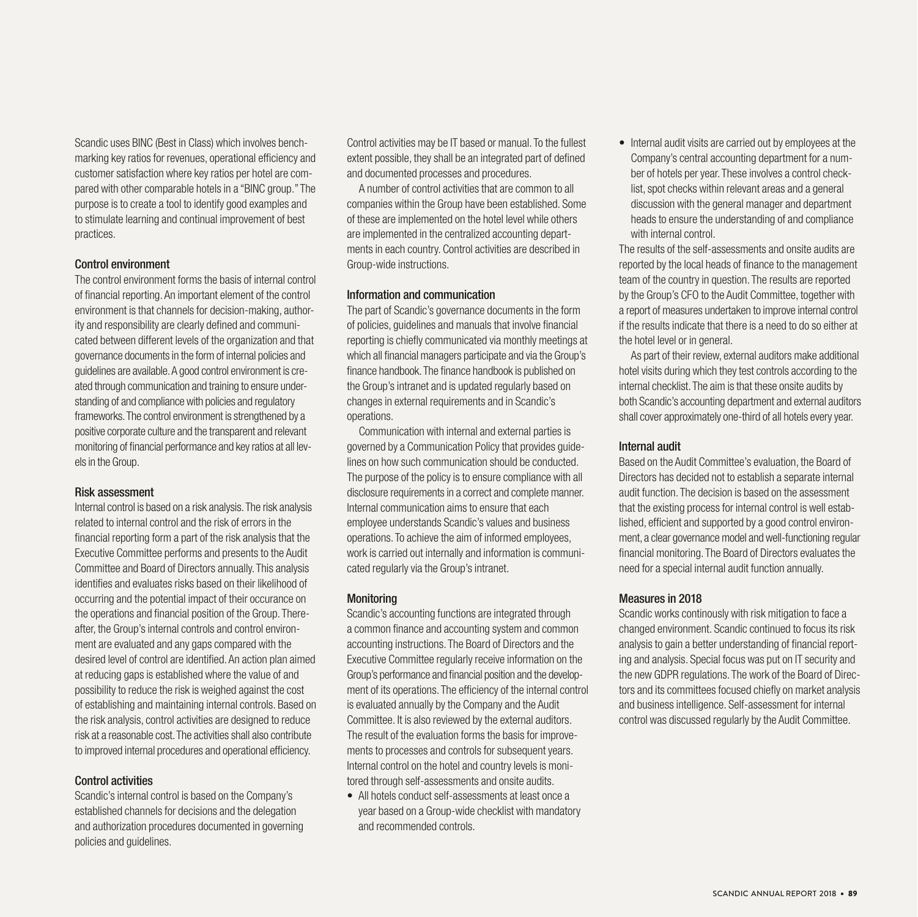Scandic uses BINC (Best in Class) which involves benchmarking key ratios for revenues, operational efficiency and customer satisfaction where key ratios per hotel are compared with other comparable hotels in a "BINC group." The purpose is to create a tool to identify good examples and to stimulate learning and continual improvement of best practices.

#### Control environment

The control environment forms the basis of internal control of financial reporting. An important element of the control environment is that channels for decision-making, authority and responsibility are clearly defined and communicated between different levels of the organization and that governance documents in the form of internal policies and guidelines are available. A good control environment is created through communication and training to ensure understanding of and compliance with policies and regulatory frameworks. The control environment is strengthened by a positive corporate culture and the transparent and relevant monitoring of financial performance and key ratios at all levels in the Group.

#### Risk assessment

Internal control is based on a risk analysis. The risk analysis related to internal control and the risk of errors in the financial reporting form a part of the risk analysis that the Executive Committee performs and presents to the Audit Committee and Board of Directors annually. This analysis identifies and evaluates risks based on their likelihood of occurring and the potential impact of their occurance on the operations and financial position of the Group. Thereafter, the Group's internal controls and control environment are evaluated and any gaps compared with the desired level of control are identified. An action plan aimed at reducing gaps is established where the value of and possibility to reduce the risk is weighed against the cost of establishing and maintaining internal controls. Based on the risk analysis, control activities are designed to reduce risk at a reasonable cost. The activities shall also contribute to improved internal procedures and operational efficiency.

#### Control activities

Scandic's internal control is based on the Company's established channels for decisions and the delegation and authorization procedures documented in governing policies and guidelines.

Control activities may be IT based or manual. To the fullest extent possible, they shall be an integrated part of defined and documented processes and procedures.

A number of control activities that are common to all companies within the Group have been established. Some of these are implemented on the hotel level while others are implemented in the centralized accounting departments in each country. Control activities are described in Group-wide instructions.

#### Information and communication

The part of Scandic's governance documents in the form of policies, guidelines and manuals that involve financial reporting is chiefly communicated via monthly meetings at which all financial managers participate and via the Group's finance handbook. The finance handbook is published on the Group's intranet and is updated regularly based on changes in external requirements and in Scandic's operations.

Communication with internal and external parties is governed by a Communication Policy that provides guidelines on how such communication should be conducted. The purpose of the policy is to ensure compliance with all disclosure requirements in a correct and complete manner. Internal communication aims to ensure that each employee understands Scandic's values and business operations. To achieve the aim of informed employees, work is carried out internally and information is communicated regularly via the Group's intranet.

#### Monitoring

Scandic's accounting functions are integrated through a common finance and accounting system and common accounting instructions. The Board of Directors and the Executive Committee regularly receive information on the Group's performance and financial position and the development of its operations. The efficiency of the internal control is evaluated annually by the Company and the Audit Committee. It is also reviewed by the external auditors. The result of the evaluation forms the basis for improvements to processes and controls for subsequent years. Internal control on the hotel and country levels is monitored through self-assessments and onsite audits.

• All hotels conduct self-assessments at least once a year based on a Group-wide checklist with mandatory and recommended controls.

• Internal audit visits are carried out by employees at the Company's central accounting department for a number of hotels per year. These involves a control checklist, spot checks within relevant areas and a general discussion with the general manager and department heads to ensure the understanding of and compliance with internal control.

The results of the self-assessments and onsite audits are reported by the local heads of finance to the management team of the country in question. The results are reported by the Group's CFO to the Audit Committee, together with a report of measures undertaken to improve internal control if the results indicate that there is a need to do so either at the hotel level or in general.

As part of their review, external auditors make additional hotel visits during which they test controls according to the internal checklist. The aim is that these onsite audits by both Scandic's accounting department and external auditors shall cover approximately one-third of all hotels every year.

#### Internal audit

Based on the Audit Committee's evaluation, the Board of Directors has decided not to establish a separate internal audit function. The decision is based on the assessment that the existing process for internal control is well established, efficient and supported by a good control environment, a clear governance model and well-functioning regular financial monitoring. The Board of Directors evaluates the need for a special internal audit function annually.

#### Measures in 2018

Scandic works continously with risk mitigation to face a changed environment. Scandic continued to focus its risk analysis to gain a better understanding of financial reporting and analysis. Special focus was put on IT security and the new GDPR regulations. The work of the Board of Directors and its committees focused chiefly on market analysis and business intelligence. Self-assessment for internal control was discussed regularly by the Audit Committee.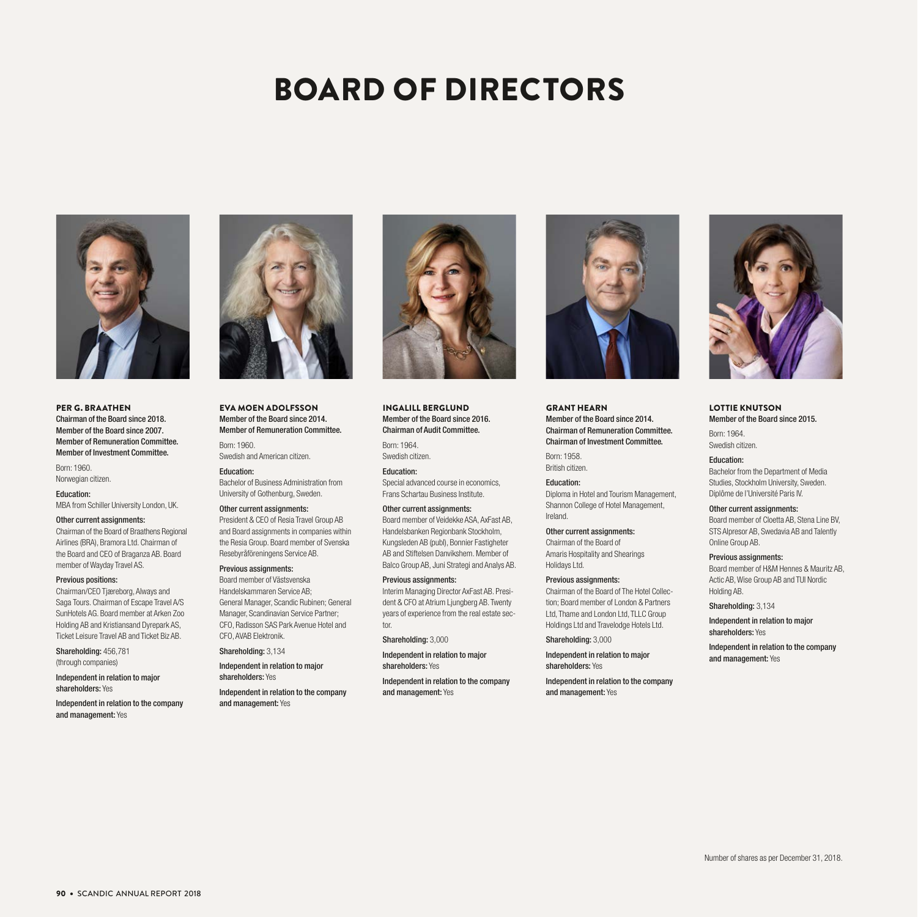# BOARD OF DIRECTORS



PER G. BRAATHEN Chairman of the Board since 2018. Member of the Board since 2007. Member of Remuneration Committee. Member of Investment Committee.

Born: 1960. Norwegian citizen.

Education: MBA from Schiller University London, UK.

#### Other current assignments:

Chairman of the Board of Braathens Regional Airlines (BRA), Bramora Ltd. Chairman of the Board and CEO of Braganza AB. Board member of Wayday Travel AS.

#### Previous positions:

Chairman/CEO Tjæreborg, Always and Saga Tours. Chairman of Escape Travel A/S SunHotels AG. Board member at Arken Zoo Holding AB and Kristiansand Dyrepark AS, Ticket Leisure Travel AB and Ticket Biz AB.

Shareholding: 456,781 (through companies)

Independent in relation to major shareholders: Yes

Independent in relation to the company and management: Yes



#### EVA MOEN ADOLFSSON Member of the Board since 2014. Member of Remuneration Committee.

Born: 1960. Swedish and American citizen.

Education: Bachelor of Business Administration from University of Gothenburg, Sweden.

Other current assignments: President & CEO of Resia Travel Group AB and Board assignments in companies within the Resia Group. Board member of Svenska

#### Resebyråföreningens Service AB. Previous assignments:

Board member of Västsvenska Handelskammaren Service AB; General Manager, Scandic Rubinen; General Manager, Scandinavian Service Partner; CFO, Radisson SAS Park Avenue Hotel and CFO, AVAB Elektronik.

Shareholding: 3,134

Independent in relation to major shareholders: Yes

Independent in relation to the company and management: Yes



INGALILL BERGLUND Member of the Board since 2016. Chairman of Audit Committee.

Born: 1964. Swedish citizen.

Education: Special advanced course in economics, Frans Schartau Business Institute.

#### Other current assignments:

Board member of Veidekke ASA, AxFast AB, Handelsbanken Regionbank Stockholm, Kungsleden AB (publ), Bonnier Fastigheter AB and Stiftelsen Danvikshem. Member of Balco Group AB, Juni Strategi and Analys AB.

Previous assignments:

Interim Managing Director AxFast AB. President & CFO at Atrium Ljungberg AB. Twenty years of experience from the real estate sector.

Shareholding: 3,000

Independent in relation to major shareholders: Yes

Independent in relation to the company and management: Yes



GRANT HEARN Member of the Board since 2014. Chairman of Remuneration Committee. Chairman of Investment Committee.

Born: 1958. British citizen.

Education: Diploma in Hotel and Tourism Management, Shannon College of Hotel Management, Ireland.

Other current assignments: Chairman of the Board of Amaris Hospitality and Shearings Holidays Ltd.

Previous assignments:

Chairman of the Board of The Hotel Collection; Board member of London & Partners Ltd, Thame and London Ltd, TLLC Group Holdings Ltd and Travelodge Hotels Ltd.

Shareholding: 3,000

Independent in relation to major shareholders: Yes

Independent in relation to the company and management: Yes



LOTTIE KNUTSON Member of the Board since 2015.

Born: 1964. Swedish citizen.

Education: Bachelor from the Department of Media Studies, Stockholm University, Sweden. Diplôme de l'Université Paris IV.

Other current assignments: Board member of Cloetta AB, Stena Line BV, STS Alpresor AB, Swedavia AB and Talently Online Group AB.

Previous assignments: Board member of H&M Hennes & Mauritz AB, Actic AB, Wise Group AB and TUI Nordic Holding AB.

Shareholding: 3,134

Independent in relation to major shareholders: Yes

Independent in relation to the company and management: Yes

90 • SCANDIC ANNUAL REPORT 2018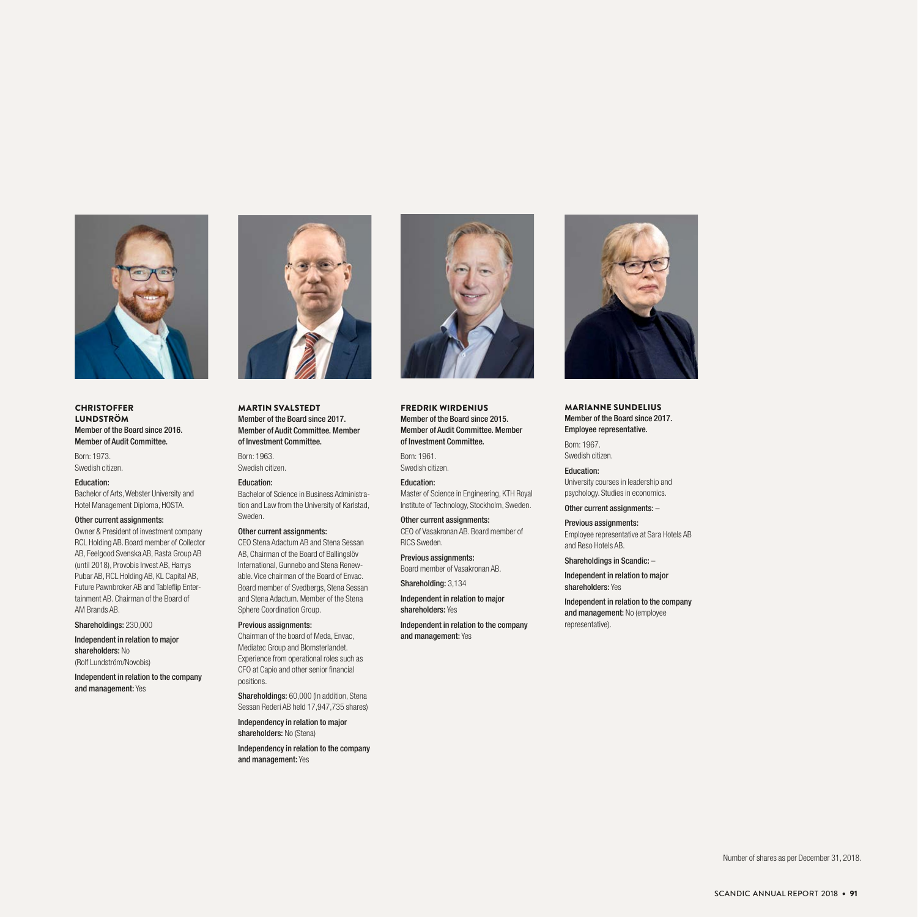

**CHRISTOFFER** LUNDSTRÖM Member of the Board since 2016. Member of Audit Committee.

Born: 1973. Swedish citizen.

#### Education:

Bachelor of Arts, Webster University and Hotel Management Diploma, HOSTA.

#### Other current assignments:

Owner & President of investment company RCL Holding AB. Board member of Collector AB, Feelgood Svenska AB, Rasta Group AB (until 2018), Provobis Invest AB, Harrys Pubar AB, RCL Holding AB, KL Capital AB, Future Pawnbroker AB and Tableflip Entertainment AB. Chairman of the Board of AM Brands AB.

Shareholdings: 230,000

Independent in relation to major shareholders: No (Rolf Lundström/Novobis)

Independent in relation to the company and management: Yes



MARTIN SVALSTEDT Member of the Board since 2017. Member of Audit Committee. Member of Investment Committee.

Born: 1963. Swedish citizen.

Education: Bachelor of Science in Business Administration and Law from the University of Karlstad, Sweden.

#### Other current assignments:

CEO Stena Adactum AB and Stena Sessan AB, Chairman of the Board of Ballingslöv International, Gunnebo and Stena Renewable. Vice chairman of the Board of Envac. Board member of Svedbergs, Stena Sessan and Stena Adactum. Member of the Stena Sphere Coordination Group.

Previous assignments: Chairman of the board of Meda, Envac, Mediatec Group and Blomsterlandet. Experience from operational roles such as

CFO at Capio and other senior financial positions. Shareholdings: 60,000 (In addition, Stena

Sessan Rederi AB held 17,947,735 shares) Independency in relation to major

shareholders: No (Stena)

Independency in relation to the company and management: Yes



FREDRIK WIRDENIUS Member of the Board since 2015. Member of Audit Committee. Member of Investment Committee.

Born: 1961. Swedish citizen.

Education: Master of Science in Engineering, KTH Royal Institute of Technology, Stockholm, Sweden.

Other current assignments: CEO of Vasakronan AB. Board member of

RICS Sweden. Previous assignments: Board member of Vasakronan AB.

Shareholding: 3,134

Independent in relation to major shareholders: Yes

Independent in relation to the company and management: Yes



MARIANNE SUNDELIUS Member of the Board since 2017. Employee representative.

Born: 1967. Swedish citizen.

Education: University courses in leadership and psychology. Studies in economics.

Other current assignments: –

Previous assignments: Employee representative at Sara Hotels AB and Reso Hotels AB.

Shareholdings in Scandic: –

Independent in relation to major shareholders: Yes

Independent in relation to the company and management: No (employee representative).

Number of shares as per December 31, 2018.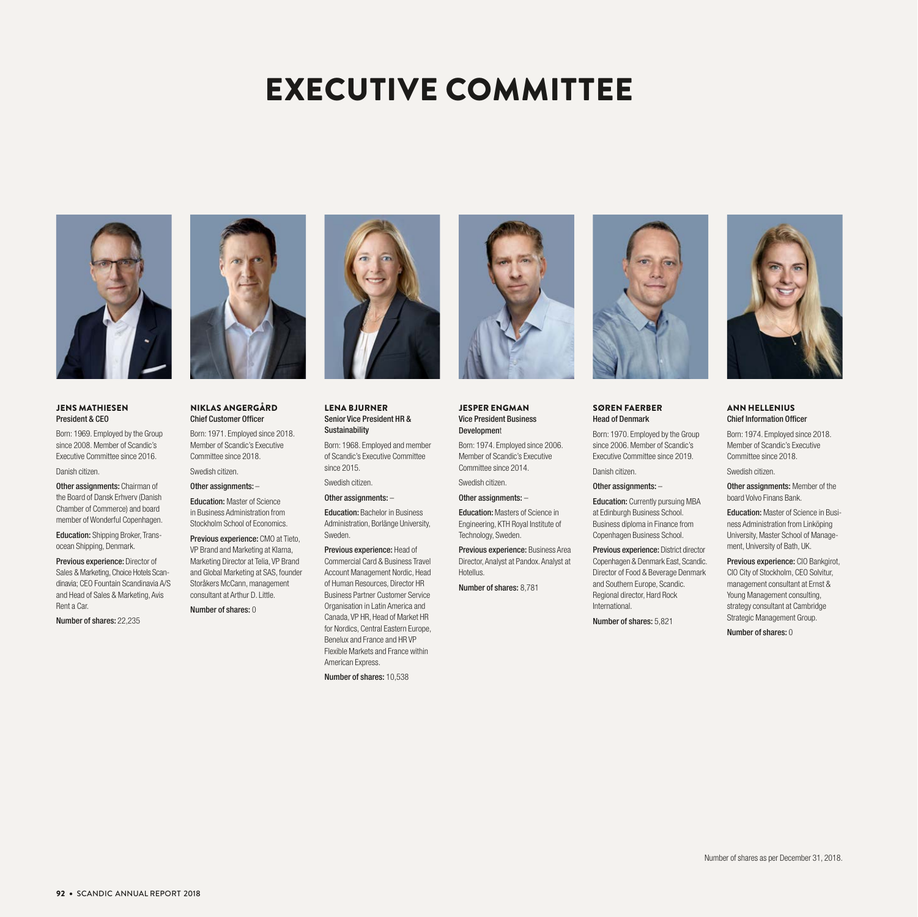# EXECUTIVE COMMITTEE



#### JENS MATHIESEN President & CEO

Born: 1969. Employed by the Group since 2008. Member of Scandic's Executive Committee since 2016. Danish citizen.

Other assignments: Chairman of the Board of Dansk Erhverv (Danish Chamber of Commerce) and board member of Wonderful Copenhagen.

Education: Shipping Broker, Transocean Shipping, Denmark.

Previous experience: Director of Sales & Marketing, Choice Hotels Scandinavia; CEO Fountain Scandinavia A/S and Head of Sales & Marketing, Avis Rent a Car.

Number of shares: 22,235



#### NIKLAS ANGERGÅRD Chief Customer Officer

Born: 1971. Employed since 2018. Member of Scandic's Executive Committee since 2018. Swedish citizen.

Other assignments: –

Education: Master of Science

in Business Administration from Stockholm School of Economics.

Previous experience: CMO at Tieto, VP Brand and Marketing at Klarna, Marketing Director at Telia, VP Brand and Global Marketing at SAS, founder Storåkers McCann, management consultant at Arthur D. Little.

Number of shares: 0



#### LENA BJURNER Senior Vice President HR & Sustainability

Born: 1968. Employed and member of Scandic's Executive Committee since 2015.

Swedish citizen.

Other assignments: –

Education: Bachelor in Business

Administration, Borlänge University, Sweden. Previous experience: Head of Commercial Card & Business Travel Account Management Nordic, Head of Human Resources, Director HR Business Partner Customer Service Organisation in Latin America and Canada, VP HR, Head of Market HR for Nordics, Central Eastern Europe, Benelux and France and HR VP Flexible Markets and France within American Express.

Number of shares: 10,538



JESPER ENGMAN Vice President Business Development

Born: 1974. Employed since 2006. Member of Scandic's Executive

Committee since 2014. Swedish citizen.

Other assignments: –

Education: Masters of Science in Engineering, KTH Royal Institute of

Technology, Sweden. Previous experience: Business Area Director, Analyst at Pandox. Analyst at Hotellus.

Number of shares: 8,781



#### SØREN FAERBER Head of Denmark

Born: 1970. Employed by the Group since 2006. Member of Scandic's Executive Committee since 2019.

Other assignments: –

Danish citizen.

Education: Currently pursuing MBA at Edinburgh Business School. Business diploma in Finance from Copenhagen Business School.

Previous experience: District director Copenhagen & Denmark East, Scandic. Director of Food & Beverage Denmark and Southern Europe, Scandic. Regional director, Hard Rock International.

Number of shares: 5,821



#### ANN HELLENIUS Chief Information Officer

Born: 1974. Employed since 2018. Member of Scandic's Executive Committee since 2018.

Swedish citizen.

Other assignments: Member of the board Volvo Finans Bank.

Education: Master of Science in Business Administration from Linköping University, Master School of Management, University of Bath, UK.

Previous experience: CIO Bankgirot, CIO City of Stockholm, CEO Solvitur, management consultant at Ernst & Young Management consulting, strategy consultant at Cambridge Strategic Management Group.

Number of shares: 0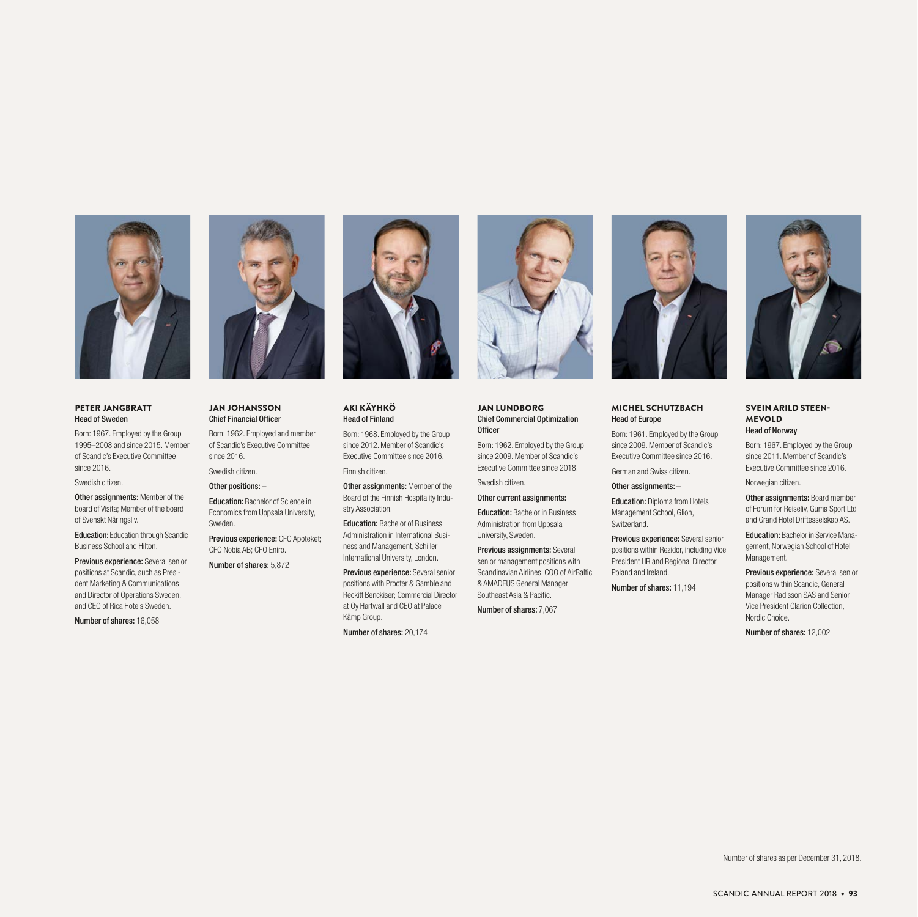

#### PETER JANGBRATT Head of Sweden

Born: 1967. Employed by the Group 1995–2008 and since 2015. Member of Scandic's Executive Committee since 2016.

Swedish citizen.

Other assignments: Member of the board of Visita; Member of the board of Svenskt Näringsliv.

Education: Education through Scandic Business School and Hilton.

Previous experience: Several senior positions at Scandic, such as President Marketing & Communications and Director of Operations Sweden, and CEO of Rica Hotels Sweden.

Number of shares: 16,058



#### JAN JOHANSSON Chief Financial Officer

Born: 1962. Employed and member of Scandic's Executive Committee since 2016.

Swedish citizen.

Other positions: –

Education: Bachelor of Science in Economics from Uppsala University, Sweden.

Previous experience: CFO Apoteket; CFO Nobia AB; CFO Eniro.

Number of shares: 5,872



#### AKI KÄYHKÖ Head of Finland

Born: 1968. Employed by the Group since 2012. Member of Scandic's Executive Committee since 2016. Finnish citizen.

Other assignments: Member of the Board of the Finnish Hospitality Industry Association.

Education: Bachelor of Business Administration in International Business and Management, Schiller International University, London.

Previous experience: Several senior positions with Procter & Gamble and Reckitt Benckiser; Commercial Director at Oy Hartwall and CEO at Palace Kämp Group.

Number of shares: 20,174



#### JAN LUNDBORG Chief Commercial Optimization **Officer**

Born: 1962. Employed by the Group since 2009. Member of Scandic's

Swedish citizen.

Other current assignments:

Executive Committee since 2018.

Education: Bachelor in Business Administration from Uppsala

University, Sweden. Previous assignments: Several senior management positions with Scandinavian Airlines, COO of AirBaltic & AMADEUS General Manager Southeast Asia & Pacific.

Number of shares: 7,067



#### MICHEL SCHUTZBACH Head of Europe

Born: 1961. Employed by the Group since 2009. Member of Scandic's Executive Committee since 2016. German and Swiss citizen.

Other assignments: –

Education: Diploma from Hotels Management School, Glion, Switzerland.

Previous experience: Several senior positions within Rezidor, including Vice President HR and Regional Director Poland and Ireland.

Number of shares: 11,194



#### SVEIN ARILD STEEN-MEVOLD Head of Norway

Born: 1967. Employed by the Group since 2011. Member of Scandic's Executive Committee since 2016.

Norwegian citizen.

Other assignments: Board member of Forum for Reiseliv, Guma Sport Ltd and Grand Hotel Driftesselskap AS.

Education: Bachelor in Service Management, Norwegian School of Hotel Management.

Previous experience: Several senior positions within Scandic, General Manager Radisson SAS and Senior Vice President Clarion Collection, Nordic Choice.

Number of shares: 12,002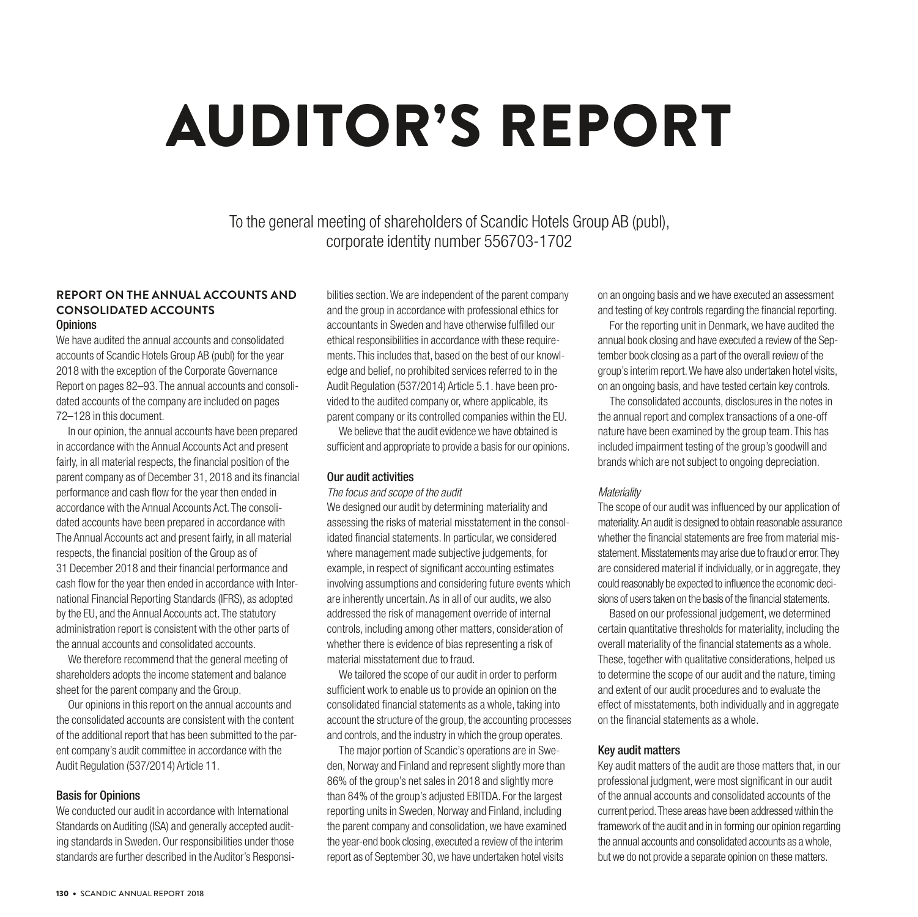# AUDITOR'S REPORT

To the general meeting of shareholders of Scandic Hotels Group AB (publ), corporate identity number 556703-1702

#### **REPORT ON THE ANNUAL ACCOUNTS AND CONSOLIDATED ACCOUNTS Opinions**

We have audited the annual accounts and consolidated accounts of Scandic Hotels Group AB (publ) for the year 2018 with the exception of the Corporate Governance Report on pages 82–93. The annual accounts and consolidated accounts of the company are included on pages 72–128 in this document.

In our opinion, the annual accounts have been prepared in accordance with the Annual Accounts Act and present fairly, in all material respects, the financial position of the parent company as of December 31, 2018 and its financial performance and cash flow for the year then ended in accordance with the Annual Accounts Act. The consolidated accounts have been prepared in accordance with The Annual Accounts act and present fairly, in all material respects, the financial position of the Group as of 31 December 2018 and their financial performance and cash flow for the year then ended in accordance with International Financial Reporting Standards (IFRS), as adopted by the EU, and the Annual Accounts act. The statutory administration report is consistent with the other parts of the annual accounts and consolidated accounts.

We therefore recommend that the general meeting of shareholders adopts the income statement and balance sheet for the parent company and the Group.

Our opinions in this report on the annual accounts and the consolidated accounts are consistent with the content of the additional report that has been submitted to the parent company's audit committee in accordance with the Audit Regulation (537/2014) Article 11.

#### Basis for Opinions

We conducted our audit in accordance with International Standards on Auditing (ISA) and generally accepted auditing standards in Sweden. Our responsibilities under those standards are further described in the Auditor's Responsibilities section. We are independent of the parent company and the group in accordance with professional ethics for accountants in Sweden and have otherwise fulfilled our ethical responsibilities in accordance with these requirements. This includes that, based on the best of our knowledge and belief, no prohibited services referred to in the Audit Regulation (537/2014) Article 5.1. have been provided to the audited company or, where applicable, its parent company or its controlled companies within the EU.

We believe that the audit evidence we have obtained is sufficient and appropriate to provide a basis for our opinions.

#### Our audit activities

*The focus and scope of the audit*

We designed our audit by determining materiality and assessing the risks of material misstatement in the consolidated financial statements. In particular, we considered where management made subjective judgements, for example, in respect of significant accounting estimates involving assumptions and considering future events which are inherently uncertain. As in all of our audits, we also addressed the risk of management override of internal controls, including among other matters, consideration of whether there is evidence of bias representing a risk of material misstatement due to fraud.

We tailored the scope of our audit in order to perform sufficient work to enable us to provide an opinion on the consolidated financial statements as a whole, taking into account the structure of the group, the accounting processes and controls, and the industry in which the group operates.

The major portion of Scandic's operations are in Sweden, Norway and Finland and represent slightly more than 86% of the group's net sales in 2018 and slightly more than 84% of the group's adjusted EBITDA. For the largest reporting units in Sweden, Norway and Finland, including the parent company and consolidation, we have examined the year-end book closing, executed a review of the interim report as of September 30, we have undertaken hotel visits

on an ongoing basis and we have executed an assessment and testing of key controls regarding the financial reporting.

For the reporting unit in Denmark, we have audited the annual book closing and have executed a review of the September book closing as a part of the overall review of the group's interim report. We have also undertaken hotel visits, on an ongoing basis, and have tested certain key controls.

The consolidated accounts, disclosures in the notes in the annual report and complex transactions of a one-off nature have been examined by the group team. This has included impairment testing of the group's goodwill and brands which are not subject to ongoing depreciation.

#### *Materiality*

The scope of our audit was influenced by our application of materiality. An audit is designed to obtain reasonable assurance whether the financial statements are free from material misstatement. Misstatements may arise due to fraud or error. They are considered material if individually, or in aggregate, they could reasonably be expected to influence the economic decisions of users taken on the basis of the financial statements.

Based on our professional judgement, we determined certain quantitative thresholds for materiality, including the overall materiality of the financial statements as a whole. These, together with qualitative considerations, helped us to determine the scope of our audit and the nature, timing and extent of our audit procedures and to evaluate the effect of misstatements, both individually and in aggregate on the financial statements as a whole.

#### Key audit matters

Key audit matters of the audit are those matters that, in our professional judgment, were most significant in our audit of the annual accounts and consolidated accounts of the current period. These areas have been addressed within the framework of the audit and in in forming our opinion regarding the annual accounts and consolidated accounts as a whole, but we do not provide a separate opinion on these matters.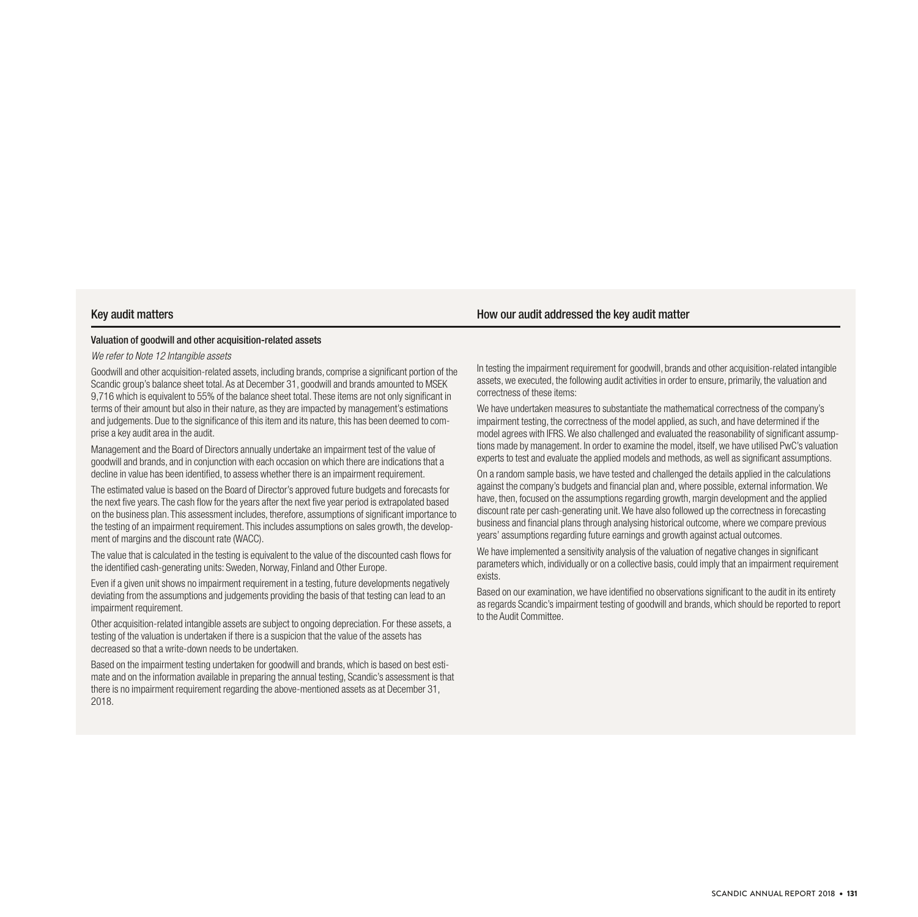#### Key audit matters **How our audit addressed the key audit matter**

#### Valuation of goodwill and other acquisition-related assets

*We refer to Note 12 Intangible assets* 

Goodwill and other acquisition-related assets, including brands, comprise a significant portion of the Scandic group's balance sheet total. As at December 31, goodwill and brands amounted to MSEK 9,716 which is equivalent to 55% of the balance sheet total. These items are not only significant in terms of their amount but also in their nature, as they are impacted by management's estimations and judgements. Due to the significance of this item and its nature, this has been deemed to comprise a key audit area in the audit.

Management and the Board of Directors annually undertake an impairment test of the value of goodwill and brands, and in conjunction with each occasion on which there are indications that a decline in value has been identified, to assess whether there is an impairment requirement.

The estimated value is based on the Board of Director's approved future budgets and forecasts for the next five years. The cash flow for the years after the next five year period is extrapolated based on the business plan. This assessment includes, therefore, assumptions of significant importance to the testing of an impairment requirement. This includes assumptions on sales growth, the development of margins and the discount rate (WACC).

The value that is calculated in the testing is equivalent to the value of the discounted cash flows for the identified cash-generating units: Sweden, Norway, Finland and Other Europe.

Even if a given unit shows no impairment requirement in a testing, future developments negatively deviating from the assumptions and judgements providing the basis of that testing can lead to an impairment requirement.

Other acquisition-related intangible assets are subject to ongoing depreciation. For these assets, a testing of the valuation is undertaken if there is a suspicion that the value of the assets has decreased so that a write-down needs to be undertaken.

Based on the impairment testing undertaken for goodwill and brands, which is based on best estimate and on the information available in preparing the annual testing, Scandic's assessment is that there is no impairment requirement regarding the above-mentioned assets as at December 31, 2018.

In testing the impairment requirement for goodwill, brands and other acquisition-related intangible assets, we executed, the following audit activities in order to ensure, primarily, the valuation and correctness of these items:

We have undertaken measures to substantiate the mathematical correctness of the company's impairment testing, the correctness of the model applied, as such, and have determined if the model agrees with IFRS. We also challenged and evaluated the reasonability of significant assumptions made by management. In order to examine the model, itself, we have utilised PwC's valuation experts to test and evaluate the applied models and methods, as well as significant assumptions.

On a random sample basis, we have tested and challenged the details applied in the calculations against the company's budgets and financial plan and, where possible, external information. We have, then, focused on the assumptions regarding growth, margin development and the applied discount rate per cash-generating unit. We have also followed up the correctness in forecasting business and financial plans through analysing historical outcome, where we compare previous years' assumptions regarding future earnings and growth against actual outcomes.

We have implemented a sensitivity analysis of the valuation of negative changes in significant parameters which, individually or on a collective basis, could imply that an impairment requirement exists.

Based on our examination, we have identified no observations significant to the audit in its entirety as regards Scandic's impairment testing of goodwill and brands, which should be reported to report to the Audit Committee.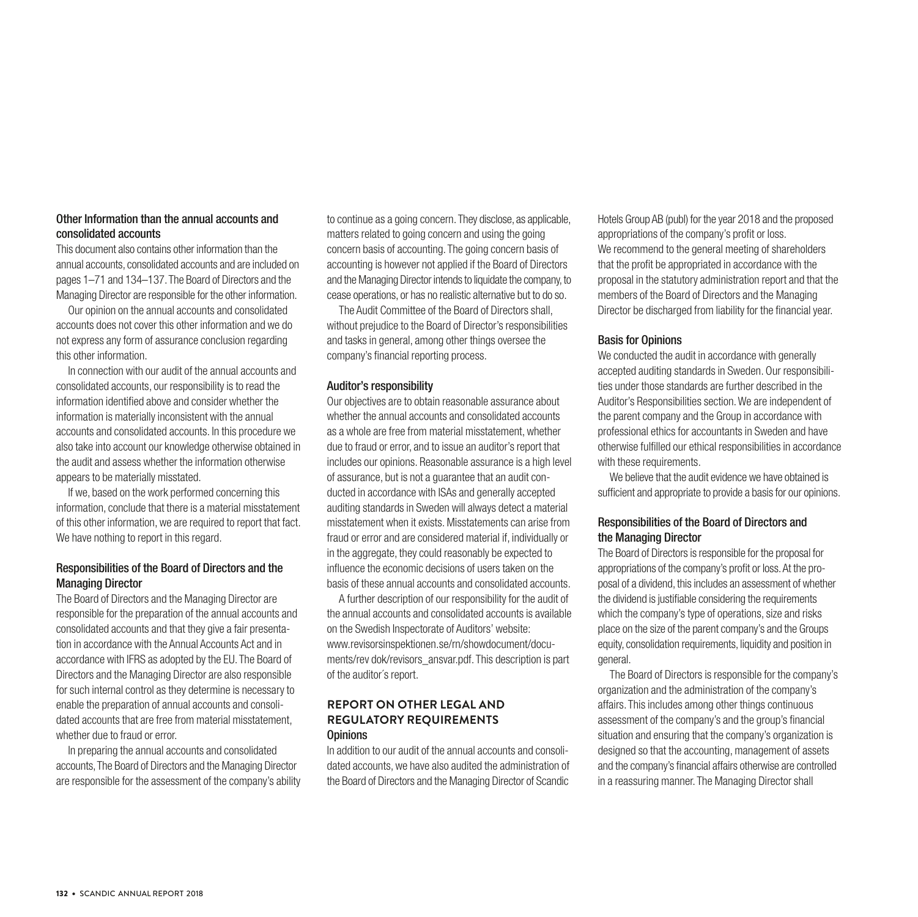#### Other Information than the annual accounts and consolidated accounts

This document also contains other information than the annual accounts, consolidated accounts and are included on pages 1–71 and 134–137. The Board of Directors and the Managing Director are responsible for the other information.

Our opinion on the annual accounts and consolidated accounts does not cover this other information and we do not express any form of assurance conclusion regarding this other information.

In connection with our audit of the annual accounts and consolidated accounts, our responsibility is to read the information identified above and consider whether the information is materially inconsistent with the annual accounts and consolidated accounts. In this procedure we also take into account our knowledge otherwise obtained in the audit and assess whether the information otherwise appears to be materially misstated.

If we, based on the work performed concerning this information, conclude that there is a material misstatement of this other information, we are required to report that fact. We have nothing to report in this regard.

#### Responsibilities of the Board of Directors and the Managing Director

The Board of Directors and the Managing Director are responsible for the preparation of the annual accounts and consolidated accounts and that they give a fair presentation in accordance with the Annual Accounts Act and in accordance with IFRS as adopted by the EU. The Board of Directors and the Managing Director are also responsible for such internal control as they determine is necessary to enable the preparation of annual accounts and consolidated accounts that are free from material misstatement, whether due to fraud or error.

In preparing the annual accounts and consolidated accounts, The Board of Directors and the Managing Director are responsible for the assessment of the company's ability to continue as a going concern. They disclose, as applicable, matters related to going concern and using the going concern basis of accounting. The going concern basis of accounting is however not applied if the Board of Directors and the Managing Director intends to liquidate the company, to cease operations, or has no realistic alternative but to do so.

The Audit Committee of the Board of Directors shall, without prejudice to the Board of Director's responsibilities and tasks in general, among other things oversee the company's financial reporting process.

#### Auditor's responsibility

Our objectives are to obtain reasonable assurance about whether the annual accounts and consolidated accounts as a whole are free from material misstatement, whether due to fraud or error, and to issue an auditor's report that includes our opinions. Reasonable assurance is a high level of assurance, but is not a guarantee that an audit conducted in accordance with ISAs and generally accepted auditing standards in Sweden will always detect a material misstatement when it exists. Misstatements can arise from fraud or error and are considered material if, individually or in the aggregate, they could reasonably be expected to influence the economic decisions of users taken on the basis of these annual accounts and consolidated accounts.

A further description of our responsibility for the audit of the annual accounts and consolidated accounts is available on the Swedish Inspectorate of Auditors' website: www.revisorsinspektionen.se/rn/showdocument/documents/rev dok/revisors\_ansvar.pdf. This description is part of the auditor´s report.

#### **REPORT ON OTHER LEGAL AND REGULATORY REQUIREMENTS Opinions**

In addition to our audit of the annual accounts and consolidated accounts, we have also audited the administration of the Board of Directors and the Managing Director of Scandic Hotels Group AB (publ) for the year 2018 and the proposed appropriations of the company's profit or loss. We recommend to the general meeting of shareholders that the profit be appropriated in accordance with the proposal in the statutory administration report and that the members of the Board of Directors and the Managing Director be discharged from liability for the financial year.

#### Basis for Opinions

We conducted the audit in accordance with generally accepted auditing standards in Sweden. Our responsibilities under those standards are further described in the Auditor's Responsibilities section. We are independent of the parent company and the Group in accordance with professional ethics for accountants in Sweden and have otherwise fulfilled our ethical responsibilities in accordance with these requirements.

We believe that the audit evidence we have obtained is sufficient and appropriate to provide a basis for our opinions.

#### Responsibilities of the Board of Directors and the Managing Director

The Board of Directors is responsible for the proposal for appropriations of the company's profit or loss. At the proposal of a dividend, this includes an assessment of whether the dividend is justifiable considering the requirements which the company's type of operations, size and risks place on the size of the parent company's and the Groups equity, consolidation requirements, liquidity and position in general.

The Board of Directors is responsible for the company's organization and the administration of the company's affairs. This includes among other things continuous assessment of the company's and the group's financial situation and ensuring that the company's organization is designed so that the accounting, management of assets and the company's financial affairs otherwise are controlled in a reassuring manner. The Managing Director shall